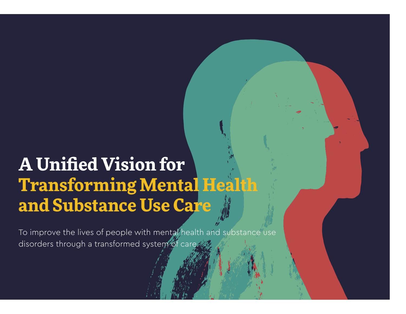# **A Unified Vision for Transforming Mental Health and Substance Use Care**

To improve the lives of people with mental health and substance use disorders through a transformed system of care.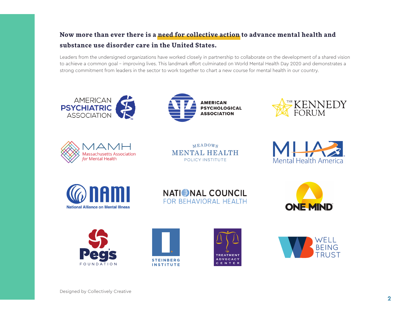# **Now more than ever there is a need for collective action to advance mental health and substance use disorder care in the United States.**

Leaders from the undersigned organizations have worked closely in partnership to collaborate on the development of a shared vision to achieve a common goal – improving lives. This landmark effort culminated on World Mental Health Day 2020 and demonstrates a strong commitment from leaders in the sector to work together to chart a new course for mental health in our country.









 $MEADOWS$ **MENTAL HEALTH** POLICY INSTITUTE















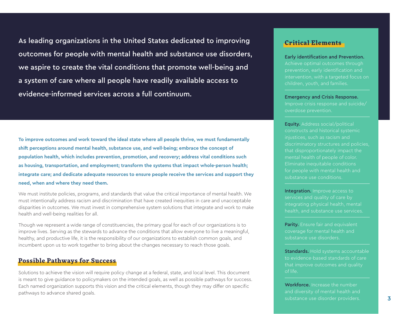As leading organizations in the United States dedicated to improving outcomes for people with mental health and substance use disorders, we aspire to create the vital conditions that promote well-being and a system of care where all people have readily available access to evidence-informed services across a full continuum.

**To improve outcomes and work toward the ideal state where all people thrive, we must fundamentally shift perceptions around mental health, substance use, and well-being; embrace the concept of population health, which includes prevention, promotion, and recovery; address vital conditions such as housing, transportation, and employment; transform the systems that impact whole-person health; integrate care; and dedicate adequate resources to ensure people receive the services and support they need, when and where they need them.** 

We must institute policies, programs, and standards that value the critical importance of mental health. We must intentionally address racism and discrimination that have created inequities in care and unacceptable disparities in outcomes. We must invest in comprehensive system solutions that integrate and work to make health and well-being realities for all.

Though we represent a wide range of constituencies, the primary goal for each of our organizations is to improve lives. Serving as the stewards to advance the conditions that allow everyone to live a meaningful, healthy, and productive life, it is the responsibility of our organizations to establish common goals, and incumbent upon us to work together to bring about the changes necessary to reach those goals.

### **Possible Pathways for Success**

Solutions to achieve the vision will require policy change at a federal, state, and local level. This document is meant to give guidance to policymakers on the intended goals, as well as possible pathways for success. Each named organization supports this vision and the critical elements, though they may differ on specific pathways to advance shared goals.

### **Critical Elements**

#### Early identification and Prevention.

Achieve optimal outcomes through prevention, early identification and intervention, with a targeted focus on children, youth, and families.

#### Emergency and Crisis Response.

Improve crisis response and suicide/ overdose prevention.

Equity. Address social/political constructs and historical systemic injustices, such as racism and discriminatory structures and policies, that disproportionately impact the mental health of people of color. Eliminate inequitable conditions for people with mental health and substance use conditions.

Integration. Improve access to services and quality of care by integrating physical health, mental

Parity. Ensure fair and equivalent coverage for mental health and substance use disorders.

Standards. Hold systems accountable to evidence-based standards of care that improve outcomes and quality of life.

Workforce. Increase the number and diversity of mental health and substance use disorder providers.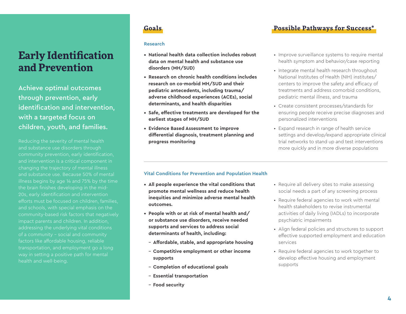# **Early Identification and Prevention**

Achieve optimal outcomes through prevention, early identification and intervention, with a targeted focus on children, youth, and families.

Reducing the severity of mental health and substance use disorders through community prevention, early identification, and intervention is a critical component in changing the trajectory of mental illness and substance use. Because 50% of mental illness begins by age 14 and 75% by the time the brain finishes developing in the mid-20s, early identification and intervention efforts must be focused on children, families, and schools, with special emphasis on the community-based risk factors that negatively impact parents and children. In addition, addressing the underlying vital conditions of a community – social and community transportation, and employment go a long way in setting a positive path for mental health and well-being.

#### **Research**

- **• National health data collection includes robust data on mental health and substance use disorders (MH/SUD)**
- **• Research on chronic health conditions includes research on co-morbid MH/SUD and their pediatric antecedents, including trauma/ adverse childhood experiences (ACEs), social determinants, and health disparities**
- **• Safe, effective treatments are developed for the earliest stages of MH/SUD**
- **• Evidence Based Assessment to improve differential diagnosis, treatment planning and progress monitoring**

# **Goals Possible Pathways for Success\***

- Improve surveillance systems to require mental health symptom and behavior/case reporting
- Integrate mental health research throughout National Institutes of Health (NIH) institutes/ centers to improve the safety and efficacy of treatments and address comorbid conditions, pediatric mental illness, and trauma
- Create consistent processes/standards for ensuring people receive precise diagnoses and personalized interventions
- Expand research in range of health service settings and develop/expand appropriate clinical trial networks to stand up and test interventions more quickly and in more diverse populations

### **Vital Conditions for Prevention and Population Health**

- **• All people experience the vital conditions that promote mental wellness and reduce health inequities and minimize adverse mental health outcomes.**
- **• People with or at risk of mental health and/ or substance use disorders, receive needed supports and services to address social determinants of health, including:**
	- **Affordable, stable, and appropriate housing**
	- **Competitive employment or other income supports**
	- **Completion of educational goals**
	- **Essential transportation**
	- **Food security**
- Require all delivery sites to make assessing social needs a part of any screening process
- Require federal agencies to work with mental health stakeholders to revise instrumental activities of daily living (IADLs) to incorporate psychiatric impairments
- Align federal policies and structures to support effective supported employment and education services
- Require federal agencies to work together to develop effective housing and employment supports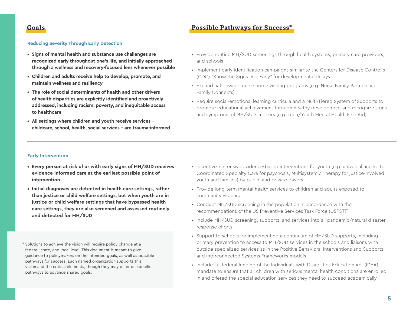#### **Reducing Severity Through Early Detection**

- **• Signs of mental health and substance use challenges are recognized early throughout one's life, and initially approached through a wellness and recovery-focused lens whenever possible**
- **• Children and adults receive help to develop, promote, and maintain wellness and resiliency**
- **• The role of social determinants of health and other drivers of health disparities are explicitly identified and proactively addressed, including racism, poverty, and inequitable access to healthcare**
- **• All settings where children and youth receive services childcare, school, health, social services – are trauma-informed**
- Provide routine MH/SUD screenings through health systems, primary care providers, and schools
- Implement early identification campaigns similar to the Centers for Disease Control's (CDC) "Know the Signs. Act Early" for developmental delays
- Expand nationwide nurse home visiting programs (e.g. Nurse Family Partnership, Family Connects)
- Require social-emotional learning curricula and a Multi-Tiered System of Supports to promote educational achievement through healthy development and recognize signs and symptoms of MH/SUD in peers (e.g. Teen/Youth Mental Health First Aid)

#### **Early Intervention**

- **• Every person at risk of or with early signs of MH/SUD receives evidence-informed care at the earliest possible point of intervention**
- **• Initial diagnoses are detected in health care settings, rather than justice or child welfare settings, but when youth are in justice or child welfare settings that have bypassed health care settings, they are also screened and assessed routinely and detected for MH/SUD**
- \* Solutions to achieve the vision will require policy change at a federal, state, and local level. This document is meant to give guidance to policymakers on the intended goals, as well as possible pathways for success. Each named organization supports this vision and the critical elements, though they may differ on specific pathways to advance shared goals.
- Incentivize intensive evidence-based interventions for youth (e.g. universal access to Coordinated Specialty Care for psychosis, Multisystemic Therapy for justice-involved youth and families) by public and private payers
- Provide long-term mental health services to children and adults exposed to community violence
- Conduct MH/SUD screening in the population in accordance with the recommendations of the US Preventive Services Task Force (USPSTF)
- Include MH/SUD screening, supports, and services into all pandemic/natural disaster response efforts
- Support to schools for implementing a continuum of MH/SUD supports, including primary prevention to access to MH/SUD services in the schools and liaisons with outside specialized services as in the Positive Behavioral Interventions and Supports and Interconnected Systems Frameworks models
- Include full federal funding of the Individuals with Disabilities Education Act (IDEA) mandate to ensure that all children with serious mental health conditions are enrolled in and offered the special education services they need to succeed academically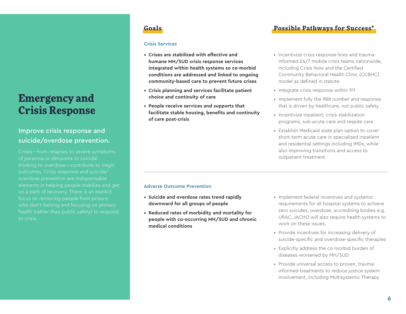# **Emergency and Crisis Response**

# Improve crisis response and suicide/overdose prevention.

Crises—from relapses to severe symptoms of paranoia or delusions to suicidal thinking to overdose—contribute to tragic outcomes. Crisis response and suicide/ overdose prevention are indispensable elements in helping people stabilize and get on a path of recovery. There is an explicit focus on removing people from prisons who don't belong and focusing on primary health (rather than public safety) to respond to crisis.

#### **Crisis Services**

- **• Crises are stabilized with effective and humane MH/SUD crisis response services integrated within health systems so co-morbid conditions are addressed and linked to ongoing community-based care to prevent future crises**
- **• Crisis planning and services facilitate patient choice and continuity of care**
- **• People receive services and supports that facilitate stable housing, benefits and continuity of care post-crisis**

# **Goals Possible Pathways for Success\***

- Incentivize crisis response lines and traumainformed 24/7 mobile crisis teams nationwide, including Crisis Now and the Certified Community Behavioral Health Clinic (CCBHC) model as defined in statute
- Integrate crisis response within 911
- Implement fully the 988 number and response that is driven by healthcare, not public safety
- Incentivize inpatient, crisis stabilization programs, sub-acute care and respite care
- Establish Medicaid state plan option to cover short-term acute care in specialized inpatient and residential settings including IMDs, while also improving transitions and access to outpatient treatment

### **Adverse Outcome Prevention**

- **• Suicide and overdose rates trend rapidly downward for all groups of people**
- **• Reduced rates of morbidity and mortality for people with co-occurring MH/SUD and chronic medical conditions**
- Implement federal incentives and systemic requirements for all hospital systems to achieve zero suicides, overdose; accrediting bodies e.g. URAC, JACHO will also require health systems to work on these issues.
- Provide incentives for increasing delivery of suicide-specific and overdose-specific therapies
- Explicitly address the co-morbid burden of diseases worsened by MH/SUD
- Provide universal access to proven, traumainformed treatments to reduce justice system involvement, including Multisystemic Therapy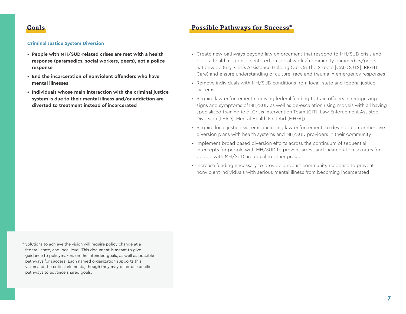#### **Criminal Justice System Diversion**

- **• People with MH/SUD-related crises are met with a health response (paramedics, social workers, peers), not a police response**
- **• End the incarceration of nonviolent offenders who have mental illnesses**
- **• Individuals whose main interaction with the criminal justice system is due to their mental illness and/or addiction are diverted to treatment instead of incarcerated**
- Create new pathways beyond law enforcement that respond to MH/SUD crisis and build a health response centered on social work / community paramedics/peers nationwide (e.g. Crisis Assistance Helping Out On The Streets [CAHOOTS], RIGHT Care) and ensure understanding of culture, race and trauma in emergency responses
- Remove individuals with MH/SUD conditions from local, state and federal justice systems
- Require law enforcement receiving federal funding to train officers in recognizing signs and symptoms of MH/SUD as well as de-escalation using models with all having specialized training (e.g. Crisis Intervention Team [CIT], Law Enforcement Assisted Diversion [LEAD], Mental Health First Aid [MHFA])
- Require local justice systems, including law enforcement, to develop comprehensive diversion plans with health systems and MH/SUD providers in their community
- Implement broad based diversion efforts across the continuum of sequential intercepts for people with MH/SUD to prevent arrest and incarceration so rates for people with MH/SUD are equal to other groups
- Increase funding necessary to provide a robust community response to prevent nonviolent individuals with serious mental illness from becoming incarcerated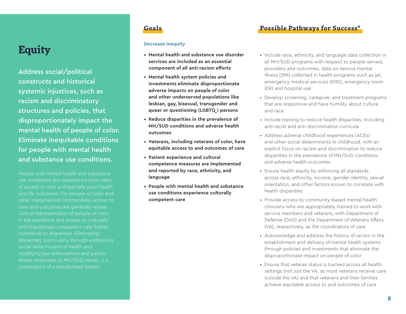# **Equity Decrease Inequity**

Address social/political constructs and historical systemic injustices, such as racism and discriminatory structures and policies, that disproportionately impact the mental health of people of color. Eliminate inequitable conditions for people with mental health and substance use conditions.

People with mental health and substance use conditions also experience poor rates of access to care and typically poor health and life outcomes. For people of color and other marginalized communities, access to care and outcomes are generally worse. Lack of representation of people of color in the workforce and access to culturally and linguistically competent care further contribute to disparities. Eliminating disparities, particularly through addressing social determinants of health and modifying law enforcement and justicedriven responses to MH/SUD needs, is a cornerstone of a transformed system.

- **• Mental health and substance use disorder services are included as an essential component of all anti-racism efforts**
- **• Mental health system policies and investments eliminate disproportionate adverse impacts on people of color and other underserved populations like lesbian, gay, bisexual, transgender and queer or questioning (LGBTQ ) persons**
- **• Reduce disparities in the prevalence of MH/SUD conditions and adverse health outcomes**
- **• Veterans, including veterans of color, have equitable access to and outcomes of care**
- **• Patient experience and cultural competence measures are implemented and reported by race, ethnicity, and language**
- **• People with mental health and substance use conditions experience culturally competent care**

# **Goals Possible Pathways for Success\***

- Include race, ethnicity, and language data collection in all MH/SUD programs with respect to people served, providers and outcomes, data on serious mental illness (SMI) collected in health programs such as jail, emergency medical services (EMS), emergency room (ER) and hospital use
- Develop screening, caregiver, and treatment programs that are responsive and have humility about culture and race
- Include training to reduce health disparities, including anti-racist and anti-discrimination curricula
- Address adverse childhood experiences (ACEs) and other social determinants in childhood, with an explicit focus on racism and discrimination to reduce disparities in the prevalence of MH/SUD conditions and adverse health outcomes
- Ensure health equity by enforcing all standards across race, ethnicity, income, gender identity, sexual orientation, and other factors known to correlate with health disparities
- Provide access to community-based mental health clinicians who are appropriately trained to work with service members and veterans, with Department of Defense (DoD) and the Department of Veterans Affairs (VA), respectively, as the coordinators of care
- Acknowledge and address the history of racism in the establishment and delivery of mental health systems through policies and investments that eliminate the disproportionate impact on people of color
- Ensure that veteran status is tracked across all health settings (not just the VA, as most veterans receive care outside the VA) and that veterans and their families achieve equitable access to and outcomes of care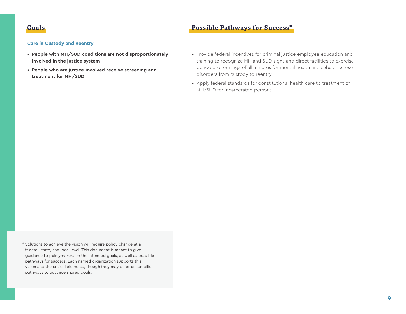#### **Care in Custody and Reentry**

- **• People with MH/SUD conditions are not disproportionately involved in the justice system**
- **• People who are justice-involved receive screening and treatment for MH/SUD**
- Provide federal incentives for criminal justice employee education and training to recognize MH and SUD signs and direct facilities to exercise periodic screenings of all inmates for mental health and substance use disorders from custody to reentry
- Apply federal standards for constitutional health care to treatment of MH/SUD for incarcerated persons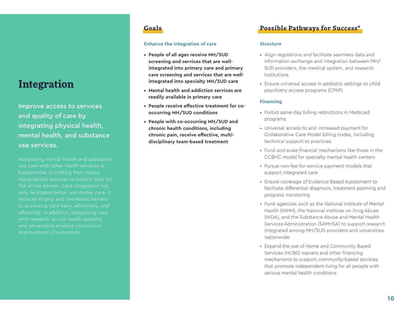# **Integration**

Improve access to services and quality of care by integrating physical health, mental health, and substance use services.

Integrating mental health and substance use care with other health services is fundamental to shifting from siloed, marginalized services to holistic care for the whole person. Care integration not only facilitates better and earlier care, it reduces stigma and decreases barriers to accessing care early, effectively, and efficiently. In addition, integrating care with research across health systems and universities enables continuous improvement of outcomes.

### **Enhance the integration of care**

- **• People of all ages receive MH/SUD screening and services that are wellintegrated into primary care and primary care screening and services that are wellintegrated into specialty MH/SUD care**
- **• Mental health and addiction services are readily available in primary care**
- **• People receive effective treatment for cooccurring MH/SUD conditions**
- **• People with co-occurring MH/SUD and chronic health conditions, including chronic pain, receive effective, multidisciplinary team-based treatment**

# **Goals Possible Pathways for Success\***

#### **Structure**

- Align regulations and facilitate seamless data and information exchange and integration between MH/ SUD providers, the medical system, and research institutions
- Ensure universal access in pediatric settings to child psychiatry access programs (CPAP)

### **Financing**

- Forbid same-day billing restrictions in Medicaid programs
- Universal access to and increased payment for Collaborative Care Model billing codes, including technical support to practices
- Fund and scale financial mechanisms like those in the CCBHC model for specialty mental health centers
- Pursue non-fee-for-service payment models that support integrated care
- Ensure coverage of Evidence Based Assessment to facilitate differential diagnosis, treatment planning and progress monitoring
- Fund agencies such as the National Institute of Mental Health (NIMH), the National Institute on Drug Abuse (NIDA), and the Substance Abuse and Mental Health Services Administration (SAMHSA) to support research integrated among MH/SUD providers and universities nationwide
- Expand the use of Home and Community Based Services (HCBS) waivers and other financing mechanisms to support community-based services that promote independent living for all people with serious mental health conditions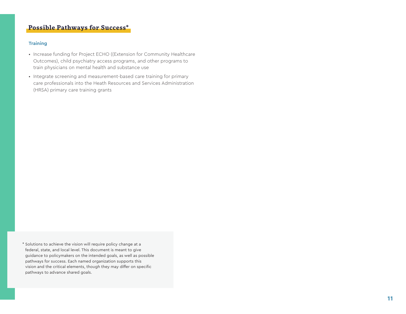### **Training**

- Increase funding for Project ECHO ((Extension for Community Healthcare Outcomes), child psychiatry access programs, and other programs to train physicians on mental health and substance use
- Integrate screening and measurement-based care training for primary care professionals into the Heath Resources and Services Administration (HRSA) primary care training grants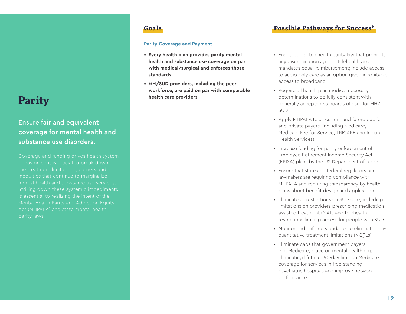# **Parity**

# Ensure fair and equivalent coverage for mental health and substance use disorders.

Coverage and funding drives health system behavior, so it is crucial to break down the treatment limitations, barriers and inequities that continue to marginalize mental health and substance use services. Striking down these systemic impediments is essential to realizing the intent of the Mental Health Parity and Addiction Equity Act (MHPAEA) and state mental health parity laws.

### **Parity Coverage and Payment**

- **• Every health plan provides parity mental health and substance use coverage on par with medical/surgical and enforces those standards**
- **• MH/SUD providers, including the peer workforce, are paid on par with comparable health care providers**

# **Goals Possible Pathways for Success\***

- Enact federal telehealth parity law that prohibits any discrimination against telehealth and mandates equal reimbursement; include access to audio-only care as an option given inequitable access to broadband
- Require all health plan medical necessity determinations to be fully consistent with generally accepted standards of care for MH/ SUD
- Apply MHPAEA to all current and future public and private payers (including Medicare, Medicaid Fee-for-Service, TRICARE and Indian Health Services)
- Increase funding for parity enforcement of Employee Retirement Income Security Act (ERISA) plans by the US Department of Labor
- Ensure that state and federal regulators and lawmakers are requiring compliance with MHPAEA and requiring transparency by health plans about benefit design and application
- Eliminate all restrictions on SUD care, including limitations on providers prescribing medicationassisted treatment (MAT) and telehealth restrictions limiting access for people with SUD
- Monitor and enforce standards to eliminate nonquantitative treatment limitations (NQTLs)
- Eliminate caps that government payers e.g. Medicare, place on mental health e.g. eliminating lifetime 190-day limit on Medicare coverage for services in free-standing psychiatric hospitals and improve network performance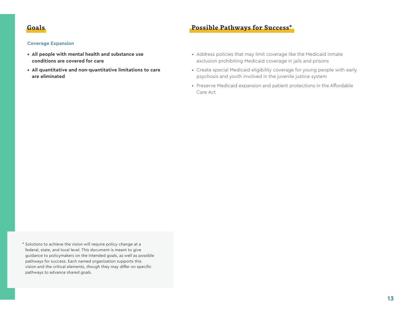#### **Coverage Expansion**

- **• All people with mental health and substance use conditions are covered for care**
- **• All quantitative and non-quantitative limitations to care are eliminated**
- Address policies that may limit coverage like the Medicaid inmate exclusion prohibiting Medicaid coverage in jails and prisons
- Create special Medicaid eligibility coverage for young people with early psychosis and youth involved in the juvenile justice system
- Preserve Medicaid expansion and patient protections in the Affordable Care Act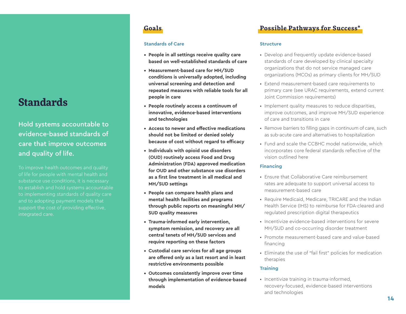# **Standards**

Hold systems accountable to evidence-based standards of care that improve outcomes and quality of life.

To improve health outcomes and quality of life for people with mental health and substance use conditions, it is necessary to establish and hold systems accountable to implementing standards of quality care and to adopting payment models that support the cost of providing effective, integrated care.

### **Standards of Care**

- **• People in all settings receive quality care based on well-established standards of care**
- **• Measurement-based care for MH/SUD conditions is universally adopted, including universal screening and detection and repeated measures with reliable tools for all people in care**
- **• People routinely access a continuum of innovative, evidence-based interventions and technologies**
- **• Access to newer and effective medications should not be limited or denied solely because of cost without regard to efficacy**
- **• Individuals with opioid use disorders (OUD) routinely access Food and Drug Administration (FDA) approved medication for OUD and other substance use disorders as a first line treatment in all medical and MH/SUD settings**
- **• People can compare health plans and mental health facilities and programs through public reports on meaningful MH/ SUD quality measures**
- **• Trauma-informed early intervention, symptom remission, and recovery are all central tenets of MH/SUD services and require reporting on these factors**
- **• Custodial care services for all age groups are offered only as a last resort and in least restrictive environments possible**
- **• Outcomes consistently improve over time through implementation of evidence-based models**

# **Goals Possible Pathways for Success\***

### **Structure**

- Develop and frequently update evidence-based standards of care developed by clinical specialty organizations that do not service managed care organizations (MCOs) as primary clients for MH/SUD
- Extend measurement-based care requirements to primary care (see URAC requirements, extend current Joint Commission requirements)
- Implement quality measures to reduce disparities, improve outcomes, and improve MH/SUD experience of care and transitions in care
- Remove barriers to filling gaps in continuum of care, such as sub-acute care and alternatives to hospitalization
- Fund and scale the CCBHC model nationwide, which incorporates core federal standards reflective of the vision outlined here

### **Financing**

- Ensure that Collaborative Care reimbursement rates are adequate to support universal access to measurement-based care
- Require Medicaid, Medicare, TRICARE and the Indian Health Service (IHS) to reimburse for FDA-cleared and regulated prescription digital therapeutics
- Incentivize evidence-based interventions for severe MH/SUD and co-occurring disorder treatment
- Promote measurement-based care and value-based financing
- Eliminate the use of "fail first" policies for medication therapies

### **Training**

• Incentivize training in trauma-informed, recovery-focused, evidence-based interventions and technologies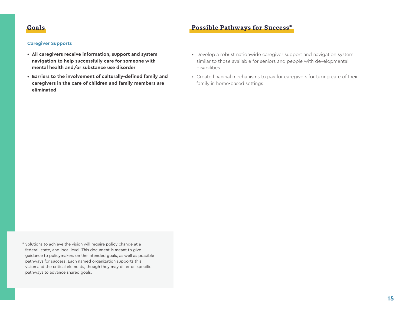#### **Caregiver Supports**

- **• All caregivers receive information, support and system navigation to help successfully care for someone with mental health and/or substance use disorder**
- **• Barriers to the involvement of culturally-defined family and caregivers in the care of children and family members are eliminated**
- Develop a robust nationwide caregiver support and navigation system similar to those available for seniors and people with developmental disabilities
- Create financial mechanisms to pay for caregivers for taking care of their family in home-based settings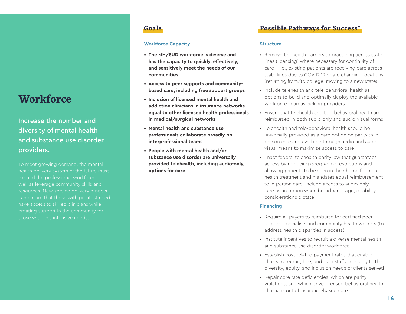# **Workforce**

Increase the number and diversity of mental health and substance use disorder providers.

To meet growing demand, the mental health delivery system of the future must expand the professional workforce as well as leverage community skills and can ensure that those with greatest need have access to skilled clinicians while creating support in the community for those with less intensive needs.

### **Workforce Capacity**

- **• The MH/SUD workforce is diverse and has the capacity to quickly, effectively, and sensitively meet the needs of our communities**
- **• Access to peer supports and communitybased care, including free support groups**
- **• Inclusion of licensed mental health and addiction clinicians in insurance networks equal to other licensed health professionals in medical/surgical networks**
- **• Mental health and substance use professionals collaborate broadly on interprofessional teams**
- **• People with mental health and/or substance use disorder are universally provided telehealth, including audio-only, options for care**

# **Goals Possible Pathways for Success\***

#### **Structure**

- Remove telehealth barriers to practicing across state lines (licensing) where necessary for continuity of care – i.e., existing patients are receiving care across state lines due to COVID-19 or are changing locations (returning from/to college, moving to a new state)
- Include telehealth and tele-behavioral health as options to build and optimally deploy the available workforce in areas lacking providers
- Ensure that telehealth and tele-behavioral health are reimbursed in both audio-only and audio-visual forms
- Telehealth and tele-behavioral health should be universally provided as a care option on par with inperson care and available through audio and audiovisual means to maximize access to care
- Enact federal telehealth parity law that guarantees access by removing geographic restrictions and allowing patients to be seen in their home for mental health treatment and mandates equal reimbursement to in-person care; include access to audio-only care as an option when broadband, age, or ability considerations dictate

### **Financing**

- Require all payers to reimburse for certified peer support specialists and community health workers (to address health disparities in access)
- Institute incentives to recruit a diverse mental health and substance use disorder workforce
- Establish cost-related payment rates that enable clinics to recruit, hire, and train staff according to the diversity, equity, and inclusion needs of clients served
- Repair core rate deficiencies, which are parity violations, and which drive licensed behavioral health clinicians out of insurance-based care